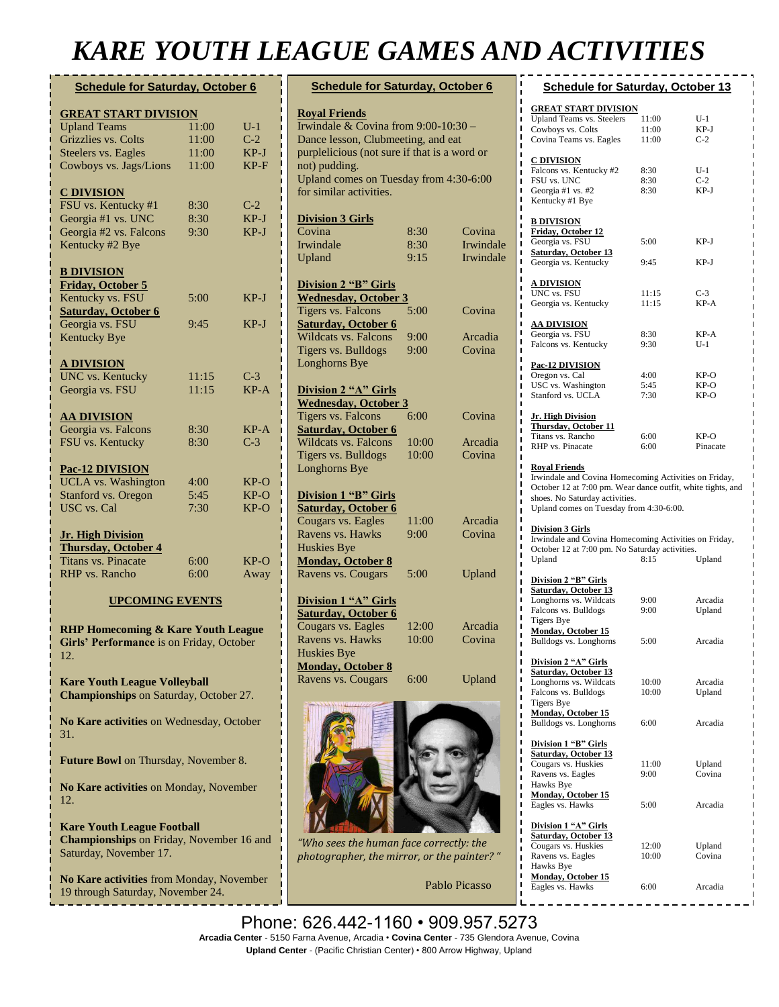## *KARE YOUTH LEAGUE GAMES AND ACTIVITIES*

### **Schedule for Saturday, October 6**

| <b>GREAT START DIVISION</b>                          |       |        |
|------------------------------------------------------|-------|--------|
| <b>Upland Teams</b>                                  | 11:00 | $U-1$  |
| Grizzlies vs. Colts                                  | 11:00 | $C-2$  |
| <b>Steelers vs. Eagles</b>                           | 11:00 | $KP-J$ |
| Cowboys vs. Jags/Lions                               | 11:00 | $KP-F$ |
|                                                      |       |        |
| <b>C DIVISION</b>                                    |       |        |
| FSU vs. Kentucky #1                                  | 8:30  | $C-2$  |
| Georgia #1 vs. UNC                                   | 8:30  | $KP-J$ |
| Georgia #2 vs. Falcons                               | 9:30  | $KP-J$ |
| Kentucky #2 Bye                                      |       |        |
| <b>B DIVISION</b>                                    |       |        |
| <b>Friday, October 5</b>                             |       |        |
| Kentucky vs. FSU                                     | 5:00  | $KP-J$ |
| <b>Saturday, October 6</b>                           |       |        |
| Georgia vs. FSU                                      | 9:45  | $KP-J$ |
| <b>Kentucky Bye</b>                                  |       |        |
| <u>A DIVISION</u>                                    |       |        |
| <b>UNC</b> vs. Kentucky                              | 11:15 | $C-3$  |
| Georgia vs. FSU                                      | 11:15 | $KP-A$ |
|                                                      |       |        |
| <u>AA DIVISION</u>                                   |       |        |
| Georgia vs. Falcons                                  | 8:30  | $KP-A$ |
| FSU vs. Kentucky                                     | 8:30  | $C-3$  |
|                                                      |       |        |
| <b>Pac-12 DIVISION</b><br><b>UCLA</b> vs. Washington | 4:00  | $KP-O$ |
| Stanford vs. Oregon                                  | 5:45  | $KP-O$ |
| <b>USC</b> vs. Cal                                   | 7:30  | $KP-O$ |
|                                                      |       |        |
| <b>Jr. High Division</b>                             |       |        |
| <b>Thursday, October 4</b>                           |       |        |
| <b>Titans vs. Pinacate</b>                           | 6:00  | $KP-O$ |
| <b>RHP</b> vs. Rancho                                | 6:00  | Away   |

#### **UPCOMING EVENTS**

**RHP Homecoming & Kare Youth League Girls' Performance** is on Friday, October 12.

**Kare Youth League Volleyball Championships** on Saturday, October 27.

**No Kare activities** on Wednesday, October 31.

**Future Bowl** on Thursday, November 8.

**No Kare activities** on Monday, November 12.

**Kare Youth League Football Championships** on Friday, November 16 and Saturday, November 17.

**No Kare activities** from Monday, November 19 through Saturday, November 24.

| <b>Schedule for Saturday, October 6</b>                                                                                                                                                                                                    |       |           |  |
|--------------------------------------------------------------------------------------------------------------------------------------------------------------------------------------------------------------------------------------------|-------|-----------|--|
| <b>Royal Friends</b><br>Irwindale & Covina from $9:00-10:30$ -<br>Dance lesson, Clubmeeting, and eat<br>purplelicious (not sure if that is a word or<br>not) pudding.<br>Upland comes on Tuesday from 4:30-6:00<br>for similar activities. |       |           |  |
| <b>Division 3 Girls</b>                                                                                                                                                                                                                    |       |           |  |
| Covina                                                                                                                                                                                                                                     | 8:30  | Covina    |  |
| Irwindale                                                                                                                                                                                                                                  | 8:30  | Irwindale |  |
| Upland                                                                                                                                                                                                                                     | 9:15  | Irwindale |  |
| <b>Division 2 "B" Girls</b><br><b>Wednesday, October 3</b>                                                                                                                                                                                 |       |           |  |
| Tigers vs. Falcons                                                                                                                                                                                                                         | 5:00  | Covina    |  |
| <b>Saturday, October 6</b>                                                                                                                                                                                                                 |       |           |  |
| <b>Wildcats vs. Falcons</b>                                                                                                                                                                                                                | 9:00  | Arcadia   |  |
| Tigers vs. Bulldogs                                                                                                                                                                                                                        | 9:00  | Covina    |  |
| Longhorns Bye                                                                                                                                                                                                                              |       |           |  |
| <b>Division 2 "A" Girls</b><br><b>Wednesday, October 3</b>                                                                                                                                                                                 |       |           |  |
| Tigers vs. Falcons                                                                                                                                                                                                                         | 6:00  | Covina    |  |
| <b>Saturday, October 6</b>                                                                                                                                                                                                                 |       |           |  |
| <b>Wildcats vs. Falcons</b>                                                                                                                                                                                                                | 10:00 | Arcadia   |  |
| Tigers vs. Bulldogs                                                                                                                                                                                                                        | 10:00 | Covina    |  |
| Longhorns Bye                                                                                                                                                                                                                              |       |           |  |
| <b>Division 1 "B" Girls</b><br><b>Saturday, October 6</b>                                                                                                                                                                                  |       |           |  |
| Cougars vs. Eagles                                                                                                                                                                                                                         | 11:00 | Arcadia   |  |
| Ravens vs. Hawks                                                                                                                                                                                                                           | 9:00  | Covina    |  |
| <b>Huskies Bye</b>                                                                                                                                                                                                                         |       |           |  |
| <b>Monday, October 8</b><br>Ravens vs. Cougars                                                                                                                                                                                             | 5:00  | Upland    |  |
| Division 1 "A" Girls<br>Saturday, October 6                                                                                                                                                                                                |       |           |  |
| Cougars vs. Eagles                                                                                                                                                                                                                         | 12:00 | Arcadia   |  |
| Ravens vs. Hawks                                                                                                                                                                                                                           | 10:00 | Covina    |  |
| <b>Huskies Bye</b>                                                                                                                                                                                                                         |       |           |  |
| <b>Monday, October 8</b>                                                                                                                                                                                                                   |       |           |  |
| Ravens vs. Cougars                                                                                                                                                                                                                         | 6:00  | Upland    |  |
|                                                                                                                                                                                                                                            |       |           |  |



*"Who sees the human face correctly: the photographer, the mirror, or the painter? "* 

| <b>Schedule for Saturday, October 13</b>                                                                                                                                                                                  |                         |                              |  |  |
|---------------------------------------------------------------------------------------------------------------------------------------------------------------------------------------------------------------------------|-------------------------|------------------------------|--|--|
| <b>GREAT START DIVISION</b><br><b>Upland Teams vs. Steelers</b><br>Cowboys vs. Colts<br>Covina Teams vs. Eagles                                                                                                           | 11:00<br>11:00<br>11:00 | U-1<br>KP-J<br>$C-2$         |  |  |
| <b>C DIVISION</b><br>Falcons vs. Kentucky #2<br>FSU vs. UNC<br>Georgia #1 vs. #2<br>Kentucky #1 Bye                                                                                                                       | 8:30<br>8:30<br>8:30    | U-1<br>$C-2$<br>KP-J         |  |  |
| <u>B DIVISION</u><br><b>Friday, October 12</b><br>Georgia vs. FSU<br><b>Saturday, October 13</b><br>Georgia vs. Kentucky                                                                                                  | 5:00<br>9:45            | KP-J<br>KP-J                 |  |  |
| <b>A DIVISION</b><br>UNC vs. FSU<br>Georgia vs. Kentucky                                                                                                                                                                  | 11:15<br>11:15          | $C-3$<br>KP-A                |  |  |
| <u>AA DIVISION</u><br>Georgia vs. FSU<br>Falcons vs. Kentucky                                                                                                                                                             | 8:30<br>9:30            | $KP-A$<br>U-1                |  |  |
| <u>Pac-12 DIVISION</u><br>Oregon vs. Cal<br>USC vs. Washington<br>Stanford vs. UCLA                                                                                                                                       | 4:00<br>5:45<br>7:30    | KP-O<br>KP-O<br>KP-O         |  |  |
| <u> Jr. High Division</u><br><b>Thursday, October 11</b><br>Titans vs. Rancho<br>RHP vs. Pinacate                                                                                                                         | 6:00<br>6:00            | KP-O<br>Pinacate             |  |  |
| <u>Royal Friends</u><br>Irwindale and Covina Homecoming Activities on Friday,<br>October 12 at 7:00 pm. Wear dance outfit, white tights, and<br>shoes. No Saturday activities.<br>Upland comes on Tuesday from 4:30-6:00. |                         |                              |  |  |
| <b>Division 3 Girls</b><br>Irwindale and Covina Homecoming Activities on Friday,<br>October 12 at 7:00 pm. No Saturday activities.<br>8:15<br>Upland<br>Upland                                                            |                         |                              |  |  |
| Division 2 "B" Girls<br>Saturday, October 13<br>Longhorns vs. Wildcats<br>Falcons vs. Bulldogs<br>Tigers Bye<br><b>Monday, October 15</b><br>Bulldogs vs. Longhorns                                                       | 9:00<br>9:00<br>5:00    | Arcadia<br>Upland<br>Arcadia |  |  |
| Division 2 "A" Girls<br>Saturday, October 13<br>Longhorns vs. Wildcats<br>Falcons vs. Bulldogs<br><b>Tigers Bye</b><br><b>Monday, October 15</b><br>Bulldogs vs. Longhorns                                                | 10:00<br>10:00<br>6:00  | Arcadia<br>Upland<br>Arcadia |  |  |
| Division 1 "B" Girls<br>Saturday, October 13<br>Cougars vs. Huskies<br>Ravens vs. Eagles<br>Hawks Bye                                                                                                                     | 11:00<br>9:00           | Upland<br>Covina             |  |  |

Pablo Picasso

**Monday, October 15**

**Division 1 "A" Girls Saturday, October 13**

Ravens vs. Eagles Hawks Bye

Eagles vs. Hawks 5:00 Arcadia

Cougars vs. Huskies 12:00 Upland<br>
Ravens vs. Eagles 10:00 Covina

**Monday, October 15**<br>Eagles vs. Hawks 6:00 Arcadia

Phone: 626.442-1160 • 909.957.5273 **Arcadia Center** - 5150 Farna Avenue, Arcadia • **Covina Center** - 735 Glendora Avenue, Covina **Upland Center** - (Pacific Christian Center) • 800 Arrow Highway, Upland **begins** on Saturday, December 1. **Monrovia Parade** on Thursday, December 6.